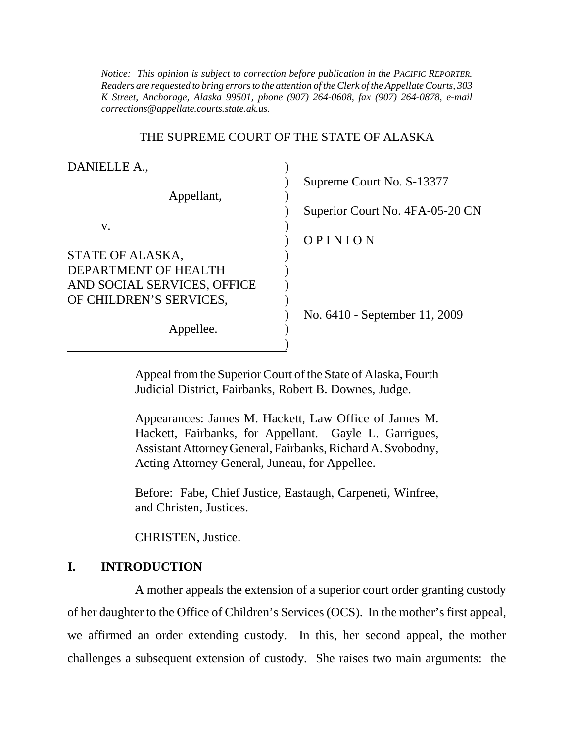*K Street, Anchorage, Alaska 99501, phone (907) 264-0608, fax (907) 264-0878, e-mail Notice: This opinion is subject to correction before publication in the PACIFIC REPORTER. Readers are requested to bring errors to the attention of the Clerk of the Appellate Courts, 303 corrections@appellate.courts.state.ak.us*.

#### THE SUPREME COURT OF THE STATE OF ALASKA

| DANIELLE A.,                |                                 |
|-----------------------------|---------------------------------|
|                             | Supreme Court No. S-13377       |
| Appellant,                  |                                 |
|                             | Superior Court No. 4FA-05-20 CN |
| V.                          |                                 |
|                             | OPINION                         |
| STATE OF ALASKA,            |                                 |
| DEPARTMENT OF HEALTH        |                                 |
| AND SOCIAL SERVICES, OFFICE |                                 |
| OF CHILDREN'S SERVICES,     |                                 |
|                             | No. 6410 - September 11, 2009   |
| Appellee.                   |                                 |
|                             |                                 |

Appeal from the Superior Court of the State of Alaska, Fourth Judicial District, Fairbanks, Robert B. Downes, Judge.

Appearances: James M. Hackett, Law Office of James M. Hackett, Fairbanks, for Appellant. Gayle L. Garrigues, Assistant Attorney General, Fairbanks, Richard A. Svobodny, Acting Attorney General, Juneau, for Appellee.

Before: Fabe, Chief Justice, Eastaugh, Carpeneti, Winfree, and Christen, Justices.

CHRISTEN, Justice.

### **I. INTRODUCTION**

A mother appeals the extension of a superior court order granting custody of her daughter to the Office of Children's Services (OCS). In the mother's first appeal, we affirmed an order extending custody. In this, her second appeal, the mother challenges a subsequent extension of custody. She raises two main arguments: the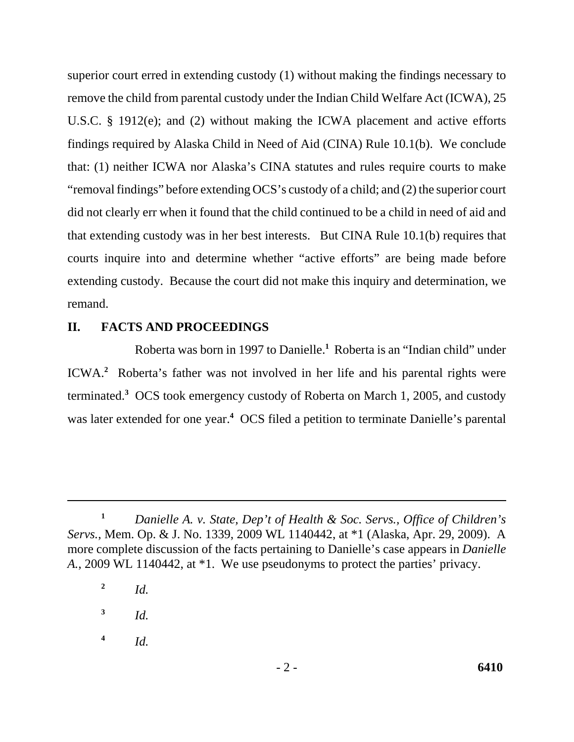superior court erred in extending custody (1) without making the findings necessary to remove the child from parental custody under the Indian Child Welfare Act (ICWA), 25 U.S.C. § 1912(e); and (2) without making the ICWA placement and active efforts findings required by Alaska Child in Need of Aid (CINA) Rule 10.1(b). We conclude that: (1) neither ICWA nor Alaska's CINA statutes and rules require courts to make "removal findings" before extending OCS's custody of a child; and (2) the superior court did not clearly err when it found that the child continued to be a child in need of aid and that extending custody was in her best interests. But CINA Rule 10.1(b) requires that courts inquire into and determine whether "active efforts" are being made before extending custody. Because the court did not make this inquiry and determination, we remand.

### **II. FACTS AND PROCEEDINGS**

Roberta was born in 1997 to Danielle.**<sup>1</sup>** Roberta is an "Indian child" under ICWA.**<sup>2</sup>** Roberta's father was not involved in her life and his parental rights were terminated.**<sup>3</sup>** OCS took emergency custody of Roberta on March 1, 2005, and custody was later extended for one year.**<sup>4</sup>** OCS filed a petition to terminate Danielle's parental

**<sup>3</sup>***Id.* 

**<sup>4</sup>***Id.* 

**<sup>1</sup>***Danielle A. v. State, Dep't of Health & Soc. Servs., Office of Children's Servs.*, Mem. Op. & J. No. 1339, 2009 WL 1140442, at \*1 (Alaska, Apr. 29, 2009). A more complete discussion of the facts pertaining to Danielle's case appears in *Danielle A.*, 2009 WL 1140442, at \*1. We use pseudonyms to protect the parties' privacy.

**<sup>2</sup>***Id.*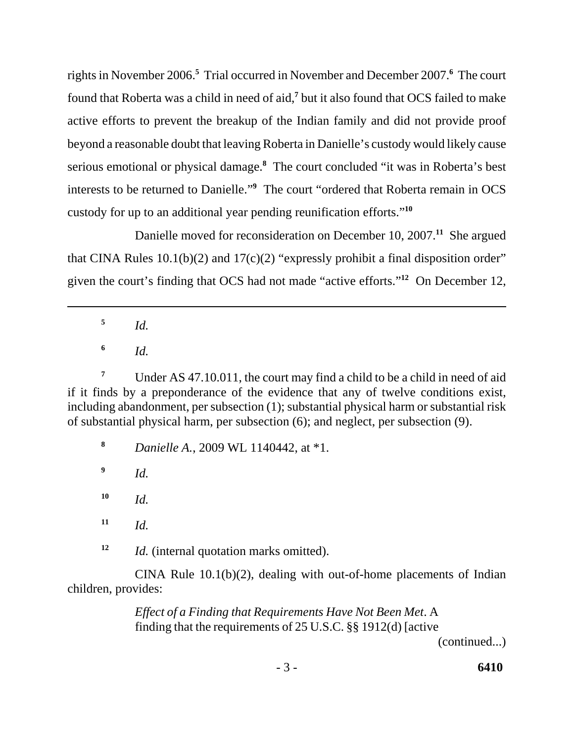rights in November 2006.**<sup>5</sup>** Trial occurred in November and December 2007.**<sup>6</sup>** The court found that Roberta was a child in need of aid,<sup>7</sup> but it also found that OCS failed to make active efforts to prevent the breakup of the Indian family and did not provide proof beyond a reasonable doubt that leaving Roberta in Danielle's custody would likely cause serious emotional or physical damage.**<sup>8</sup>** The court concluded "it was in Roberta's best interests to be returned to Danielle."**<sup>9</sup>** The court "ordered that Roberta remain in OCS custody for up to an additional year pending reunification efforts."**<sup>10</sup>**

Danielle moved for reconsideration on December 10, 2007.**<sup>11</sup>** She argued that CINA Rules  $10.1(b)(2)$  and  $17(c)(2)$  "expressly prohibit a final disposition order" given the court's finding that OCS had not made "active efforts."**<sup>12</sup>** On December 12,

**<sup>5</sup>***Id.* 

**<sup>6</sup>***Id.* 

<sup>7</sup>Under AS 47.10.011, the court may find a child to be a child in need of aid if it finds by a preponderance of the evidence that any of twelve conditions exist, including abandonment, per subsection (1); substantial physical harm or substantial risk of substantial physical harm, per subsection (6); and neglect, per subsection (9).

**8** *Danielle A.*, 2009 WL 1140442, at \*1.

**9** *Id.*

**10** *Id.*

**11** *Id.*

**12** *Id.* (internal quotation marks omitted).

 CINA Rule 10.1(b)(2), dealing with out-of-home placements of Indian children, provides:

> *Effect of a Finding that Requirements Have Not Been Met*. A finding that the requirements of 25 U.S.C. §§ 1912(d) [active

(continued...)

- 3 - **6410**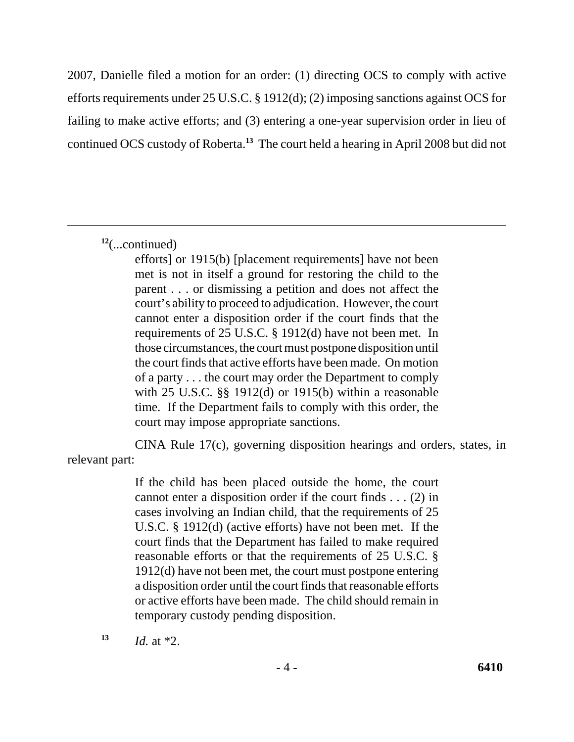2007, Danielle filed a motion for an order: (1) directing OCS to comply with active efforts requirements under 25 U.S.C. § 1912(d); (2) imposing sanctions against OCS for failing to make active efforts; and (3) entering a one-year supervision order in lieu of continued OCS custody of Roberta.**<sup>13</sup>** The court held a hearing in April 2008 but did not

**<sup>12</sup>**(...continued)

 met is not in itself a ground for restoring the child to the parent . . . or dismissing a petition and does not affect the court's ability to proceed to adjudication. However, the court cannot enter a disposition order if the court finds that the requirements of 25 U.S.C. § 1912(d) have not been met. In with 25 U.S.C. §§ 1912(d) or 1915(b) within a reasonable efforts] or 1915(b) [placement requirements] have not been those circumstances, the court must postpone disposition until the court finds that active efforts have been made. On motion of a party . . . the court may order the Department to comply time. If the Department fails to comply with this order, the court may impose appropriate sanctions.

CINA Rule 17(c), governing disposition hearings and orders, states, in relevant part:

> U.S.C. § 1912(d) (active efforts) have not been met. If the reasonable efforts or that the requirements of 25 U.S.C. § If the child has been placed outside the home, the court cannot enter a disposition order if the court finds . . . (2) in cases involving an Indian child, that the requirements of 25 court finds that the Department has failed to make required 1912(d) have not been met, the court must postpone entering a disposition order until the court finds that reasonable efforts or active efforts have been made. The child should remain in temporary custody pending disposition.

 $13$  *Id.* at \*2.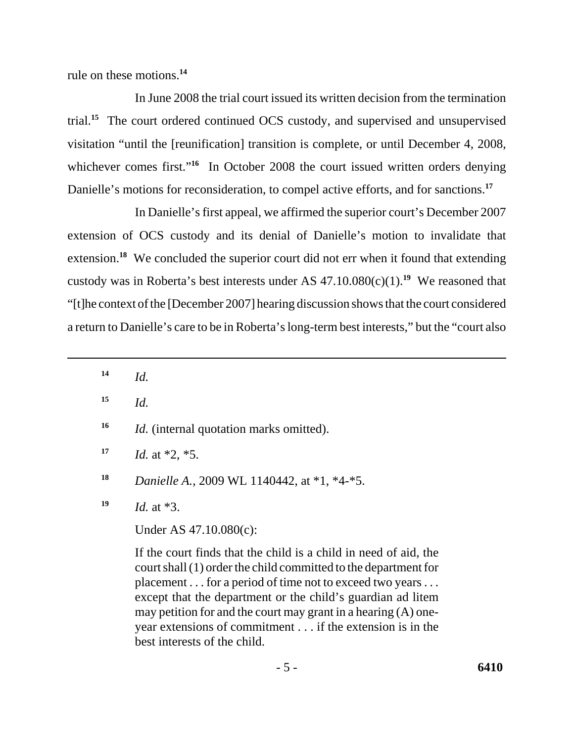rule on these motions.**<sup>14</sup>**

In June 2008 the trial court issued its written decision from the termination trial.**<sup>15</sup>** The court ordered continued OCS custody, and supervised and unsupervised visitation "until the [reunification] transition is complete, or until December 4, 2008, whichever comes first."<sup>16</sup> In October 2008 the court issued written orders denying Danielle's motions for reconsideration, to compel active efforts, and for sanctions.**<sup>17</sup>**

 custody was in Roberta's best interests under AS 47.10.080(c)(1).**<sup>19</sup>** We reasoned that a return to Danielle's care to be in Roberta's long-term best interests," but the "court also In Danielle's first appeal, we affirmed the superior court's December 2007 extension of OCS custody and its denial of Danielle's motion to invalidate that extension.<sup>18</sup> We concluded the superior court did not err when it found that extending "[t]he context of the [December 2007] hearing discussion shows that the court considered

- $14$  *Id.*
- $15$  *Id.*
- **16** *Id.* (internal quotation marks omitted).
- $17$  *Id.* at \*2, \*5.
- **18** *Danielle A.*, 2009 WL 1140442, at \*1, \*4-\*5.
- $19$  *Id.* at  $*3$ .

Under AS 47.10.080(c):

If the court finds that the child is a child in need of aid, the court shall (1) order the child committed to the department for placement . . . for a period of time not to exceed two years . . . except that the department or the child's guardian ad litem may petition for and the court may grant in a hearing (A) oneyear extensions of commitment . . . if the extension is in the best interests of the child.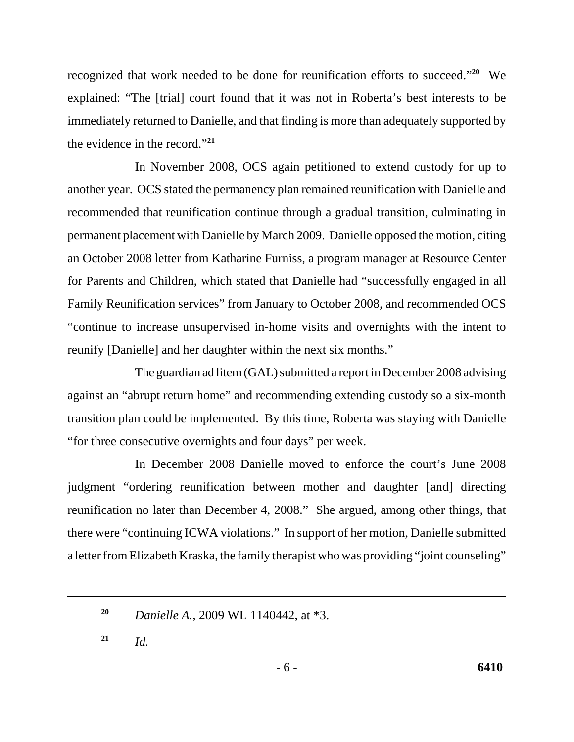recognized that work needed to be done for reunification efforts to succeed."**<sup>20</sup>** We explained: "The [trial] court found that it was not in Roberta's best interests to be immediately returned to Danielle, and that finding is more than adequately supported by the evidence in the record."**<sup>21</sup>**

In November 2008, OCS again petitioned to extend custody for up to another year. OCS stated the permanency plan remained reunification with Danielle and recommended that reunification continue through a gradual transition, culminating in permanent placement with Danielle by March 2009. Danielle opposed the motion, citing an October 2008 letter from Katharine Furniss, a program manager at Resource Center for Parents and Children, which stated that Danielle had "successfully engaged in all Family Reunification services" from January to October 2008, and recommended OCS "continue to increase unsupervised in-home visits and overnights with the intent to reunify [Danielle] and her daughter within the next six months."

The guardian ad litem (GAL) submitted a report in December 2008 advising against an "abrupt return home" and recommending extending custody so a six-month transition plan could be implemented. By this time, Roberta was staying with Danielle "for three consecutive overnights and four days" per week.

In December 2008 Danielle moved to enforce the court's June 2008 judgment "ordering reunification between mother and daughter [and] directing reunification no later than December 4, 2008." She argued, among other things, that there were "continuing ICWA violations." In support of her motion, Danielle submitted a letter from Elizabeth Kraska, the family therapist who was providing "joint counseling"

**<sup>20</sup>***Danielle A.*, 2009 WL 1140442, at \*3.

 $21$  *Id.*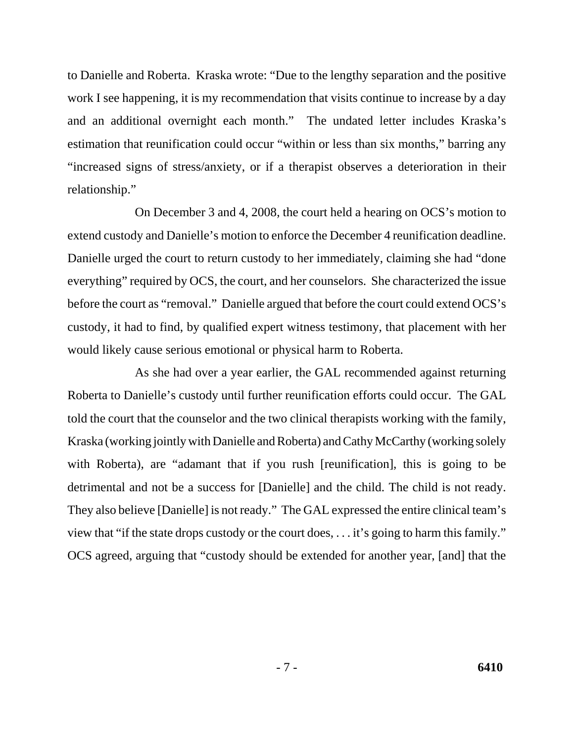to Danielle and Roberta. Kraska wrote: "Due to the lengthy separation and the positive work I see happening, it is my recommendation that visits continue to increase by a day and an additional overnight each month." The undated letter includes Kraska's estimation that reunification could occur "within or less than six months," barring any "increased signs of stress/anxiety, or if a therapist observes a deterioration in their relationship."

On December 3 and 4, 2008, the court held a hearing on OCS's motion to extend custody and Danielle's motion to enforce the December 4 reunification deadline. Danielle urged the court to return custody to her immediately, claiming she had "done everything" required by OCS, the court, and her counselors. She characterized the issue before the court as "removal." Danielle argued that before the court could extend OCS's custody, it had to find, by qualified expert witness testimony, that placement with her would likely cause serious emotional or physical harm to Roberta.

As she had over a year earlier, the GAL recommended against returning Roberta to Danielle's custody until further reunification efforts could occur. The GAL told the court that the counselor and the two clinical therapists working with the family, Kraska (working jointly with Danielle and Roberta) and Cathy McCarthy (working solely with Roberta), are "adamant that if you rush [reunification], this is going to be detrimental and not be a success for [Danielle] and the child. The child is not ready. They also believe [Danielle] is not ready." The GAL expressed the entire clinical team's view that "if the state drops custody or the court does, . . . it's going to harm this family." OCS agreed, arguing that "custody should be extended for another year, [and] that the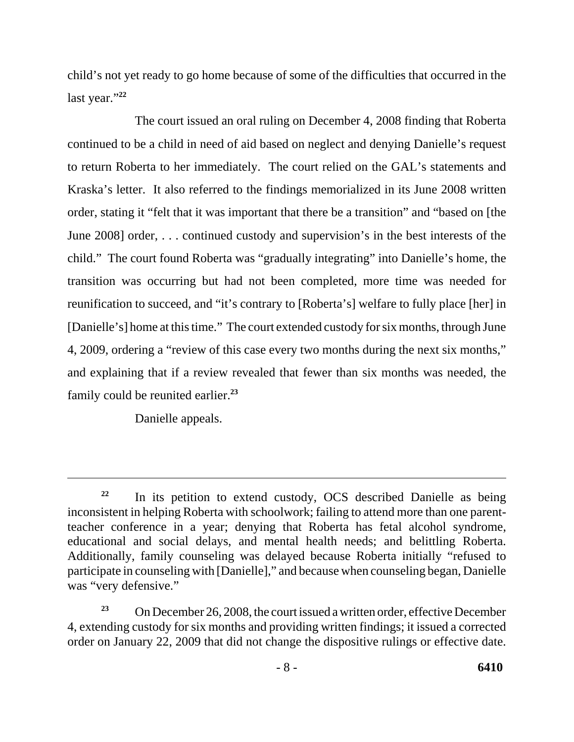last year."**<sup>22</sup>** child's not yet ready to go home because of some of the difficulties that occurred in the

The court issued an oral ruling on December 4, 2008 finding that Roberta continued to be a child in need of aid based on neglect and denying Danielle's request to return Roberta to her immediately. The court relied on the GAL's statements and Kraska's letter. It also referred to the findings memorialized in its June 2008 written order, stating it "felt that it was important that there be a transition" and "based on [the June 2008] order, . . . continued custody and supervision's in the best interests of the child." The court found Roberta was "gradually integrating" into Danielle's home, the transition was occurring but had not been completed, more time was needed for reunification to succeed, and "it's contrary to [Roberta's] welfare to fully place [her] in [Danielle's] home at this time." The court extended custody for six months, through June 4, 2009, ordering a "review of this case every two months during the next six months," and explaining that if a review revealed that fewer than six months was needed, the family could be reunited earlier.**<sup>23</sup>**

Danielle appeals.

<sup>&</sup>lt;sup>22</sup> In its petition to extend custody, OCS described Danielle as being inconsistent in helping Roberta with schoolwork; failing to attend more than one parentteacher conference in a year; denying that Roberta has fetal alcohol syndrome, educational and social delays, and mental health needs; and belittling Roberta. Additionally, family counseling was delayed because Roberta initially "refused to participate in counseling with [Danielle]," and because when counseling began, Danielle was "very defensive."

On December 26, 2008, the court issued a written order, effective December 4, extending custody for six months and providing written findings; it issued a corrected order on January 22, 2009 that did not change the dispositive rulings or effective date. **23**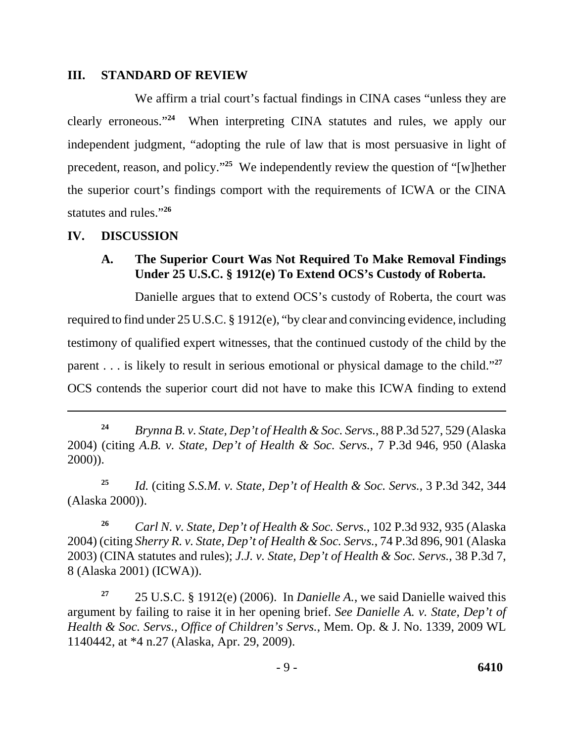### **III. STANDARD OF REVIEW**

 clearly erroneous."**<sup>24</sup>**When interpreting CINA statutes and rules, we apply our statutes and rules."**<sup>26</sup>** We affirm a trial court's factual findings in CINA cases "unless they are independent judgment, "adopting the rule of law that is most persuasive in light of precedent, reason, and policy."**<sup>25</sup>** We independently review the question of "[w]hether the superior court's findings comport with the requirements of ICWA or the CINA

### **IV. DISCUSSION**

### **A. The Superior Court Was Not Required To Make Removal Findings Under 25 U.S.C. § 1912(e) To Extend OCS's Custody of Roberta.**

Danielle argues that to extend OCS's custody of Roberta, the court was required to find under 25 U.S.C. § 1912(e), "by clear and convincing evidence, including testimony of qualified expert witnesses, that the continued custody of the child by the parent . . . is likely to result in serious emotional or physical damage to the child."**<sup>27</sup>** OCS contends the superior court did not have to make this ICWA finding to extend

**<sup>25</sup>***Id.* (citing *S.S.M. v. State, Dep't of Health & Soc. Servs.*, 3 P.3d 342, 344 (Alaska 2000)).

**<sup>26</sup>***Carl N. v. State, Dep't of Health & Soc. Servs.*, 102 P.3d 932, 935 (Alaska 2004) (citing *Sherry R. v. State, Dep't of Health & Soc. Servs.*, 74 P.3d 896, 901 (Alaska 2003) (CINA statutes and rules); *J.J. v. State, Dep't of Health & Soc. Servs.*, 38 P.3d 7, 8 (Alaska 2001) (ICWA)).

**<sup>27</sup>**25 U.S.C. § 1912(e) (2006). In *Danielle A.*, we said Danielle waived this argument by failing to raise it in her opening brief. *See Danielle A. v. State, Dep't of Health & Soc. Servs., Office of Children's Servs.*, Mem. Op. & J. No. 1339, 2009 WL 1140442, at \*4 n.27 (Alaska, Apr. 29, 2009).

**<sup>24</sup>***Brynna B. v. State, Dep't of Health & Soc. Servs.*, 88 P.3d 527, 529 (Alaska 2004) (citing *A.B. v. State, Dep't of Health & Soc. Servs.*, 7 P.3d 946, 950 (Alaska 2000)).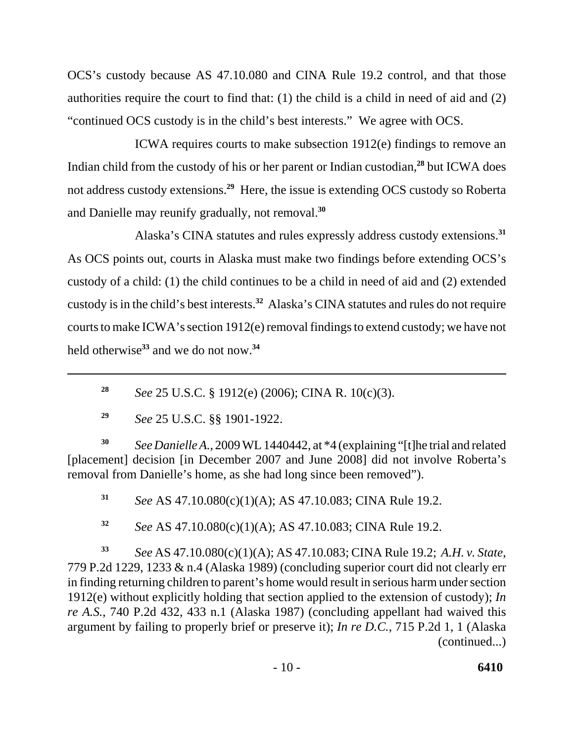OCS's custody because AS 47.10.080 and CINA Rule 19.2 control, and that those authorities require the court to find that: (1) the child is a child in need of aid and (2) "continued OCS custody is in the child's best interests." We agree with OCS.

 and Danielle may reunify gradually, not removal.**<sup>30</sup>** ICWA requires courts to make subsection 1912(e) findings to remove an Indian child from the custody of his or her parent or Indian custodian,**<sup>28</sup>** but ICWA does not address custody extensions.**<sup>29</sup>** Here, the issue is extending OCS custody so Roberta

Alaska's CINA statutes and rules expressly address custody extensions.**<sup>31</sup>** As OCS points out, courts in Alaska must make two findings before extending OCS's custody of a child: (1) the child continues to be a child in need of aid and (2) extended custody is in the child's best interests.**<sup>32</sup>** Alaska's CINA statutes and rules do not require courts to make ICWA's section 1912(e) removal findings to extend custody; we have not held otherwise**<sup>33</sup>** and we do not now.**<sup>34</sup>**

**<sup>30</sup>***See Danielle A.*, 2009 WL 1440442, at \*4 (explaining "[t]he trial and related [placement] decision [in December 2007 and June 2008] did not involve Roberta's removal from Danielle's home, as she had long since been removed").

**<sup>31</sup>***See* AS 47.10.080(c)(1)(A); AS 47.10.083; CINA Rule 19.2.

**<sup>32</sup>***See* AS 47.10.080(c)(1)(A); AS 47.10.083; CINA Rule 19.2.

**<sup>33</sup>***See* AS 47.10.080(c)(1)(A); AS 47.10.083; CINA Rule 19.2; *A.H. v. State*, 779 P.2d 1229, 1233 & n.4 (Alaska 1989) (concluding superior court did not clearly err in finding returning children to parent's home would result in serious harm under section 1912(e) without explicitly holding that section applied to the extension of custody); *In re A.S.*, 740 P.2d 432, 433 n.1 (Alaska 1987) (concluding appellant had waived this argument by failing to properly brief or preserve it); *In re D.C.*, 715 P.2d 1, 1 (Alaska (continued...)

**<sup>28</sup>***See* 25 U.S.C. § 1912(e) (2006); CINA R. 10(c)(3).

**<sup>29</sup>***See* 25 U.S.C. §§ 1901-1922.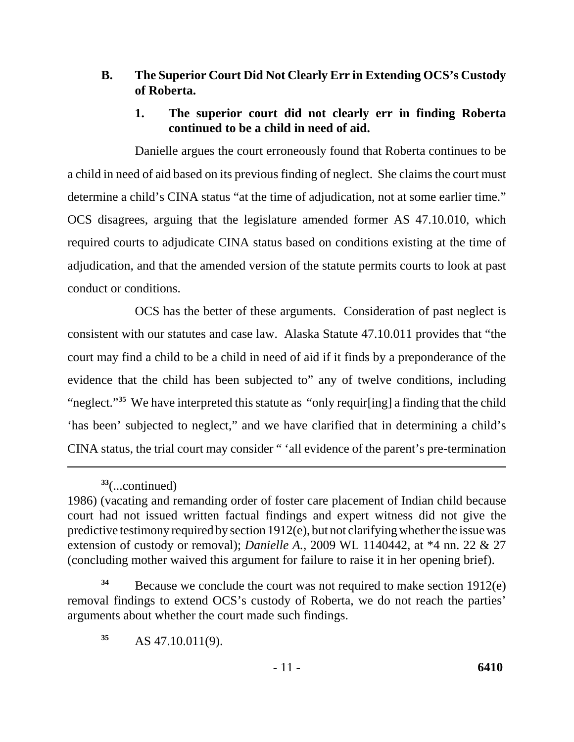## **B. The Superior Court Did Not Clearly Err in Extending OCS's Custody of Roberta.**

## **1. The superior court did not clearly err in finding Roberta continued to be a child in need of aid.**

Danielle argues the court erroneously found that Roberta continues to be a child in need of aid based on its previous finding of neglect. She claims the court must determine a child's CINA status "at the time of adjudication, not at some earlier time." OCS disagrees, arguing that the legislature amended former AS 47.10.010, which required courts to adjudicate CINA status based on conditions existing at the time of adjudication, and that the amended version of the statute permits courts to look at past conduct or conditions.

OCS has the better of these arguments. Consideration of past neglect is consistent with our statutes and case law. Alaska Statute 47.10.011 provides that "the court may find a child to be a child in need of aid if it finds by a preponderance of the evidence that the child has been subjected to" any of twelve conditions, including "neglect."**<sup>35</sup>** We have interpreted this statute as "only requir[ing] a finding that the child 'has been' subjected to neglect," and we have clarified that in determining a child's CINA status, the trial court may consider " 'all evidence of the parent's pre-termination

 removal findings to extend OCS's custody of Roberta, we do not reach the parties' <sup>34</sup> Because we conclude the court was not required to make section 1912(e) arguments about whether the court made such findings.

**<sup>35</sup>**AS 47.10.011(9).

**<sup>33</sup>**(...continued)

<sup>1986) (</sup>vacating and remanding order of foster care placement of Indian child because court had not issued written factual findings and expert witness did not give the predictive testimony required by section 1912(e), but not clarifying whether the issue was extension of custody or removal); *Danielle A.*, 2009 WL 1140442, at \*4 nn. 22 & 27 (concluding mother waived this argument for failure to raise it in her opening brief).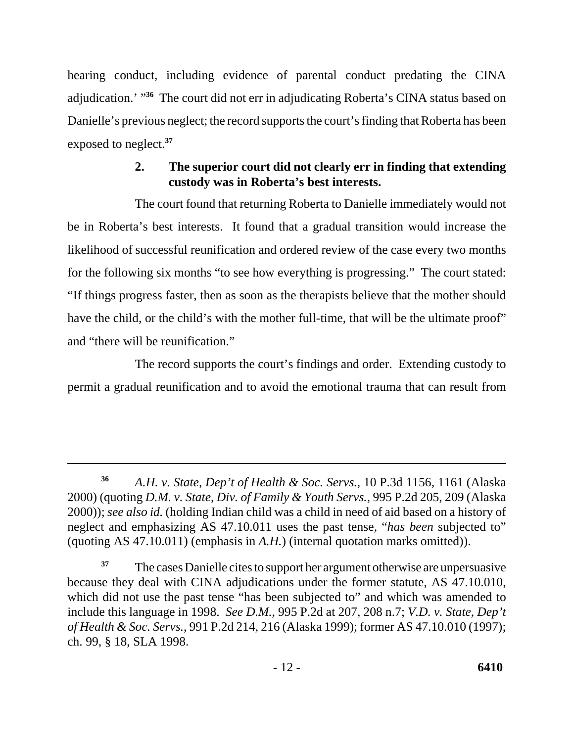hearing conduct, including evidence of parental conduct predating the CINA adjudication.' "**<sup>36</sup>** The court did not err in adjudicating Roberta's CINA status based on Danielle's previous neglect; the record supports the court's finding that Roberta has been exposed to neglect.**<sup>37</sup>**

# **2. The superior court did not clearly err in finding that extending custody was in Roberta's best interests.**

The court found that returning Roberta to Danielle immediately would not be in Roberta's best interests. It found that a gradual transition would increase the likelihood of successful reunification and ordered review of the case every two months for the following six months "to see how everything is progressing." The court stated: "If things progress faster, then as soon as the therapists believe that the mother should have the child, or the child's with the mother full-time, that will be the ultimate proof" and "there will be reunification."

The record supports the court's findings and order. Extending custody to permit a gradual reunification and to avoid the emotional trauma that can result from

**<sup>36</sup>***A.H. v. State, Dep't of Health & Soc. Servs.*, 10 P.3d 1156, 1161 (Alaska 2000) (quoting *D.M. v. State, Div. of Family & Youth Servs.*, 995 P.2d 205, 209 (Alaska 2000)); *see also id.* (holding Indian child was a child in need of aid based on a history of neglect and emphasizing AS 47.10.011 uses the past tense, "*has been* subjected to" (quoting AS 47.10.011) (emphasis in *A.H.*) (internal quotation marks omitted)).

 because they deal with CINA adjudications under the former statute, AS 47.10.010, include this language in 1998. *See D.M.*, 995 P.2d at 207, 208 n.7; *V.D. v. State, Dep't*  <sup>37</sup> The cases Danielle cites to support her argument otherwise are unpersuasive which did not use the past tense "has been subjected to" and which was amended to *of Health & Soc. Servs.*, 991 P.2d 214, 216 (Alaska 1999); former AS 47.10.010 (1997); ch. 99, § 18, SLA 1998.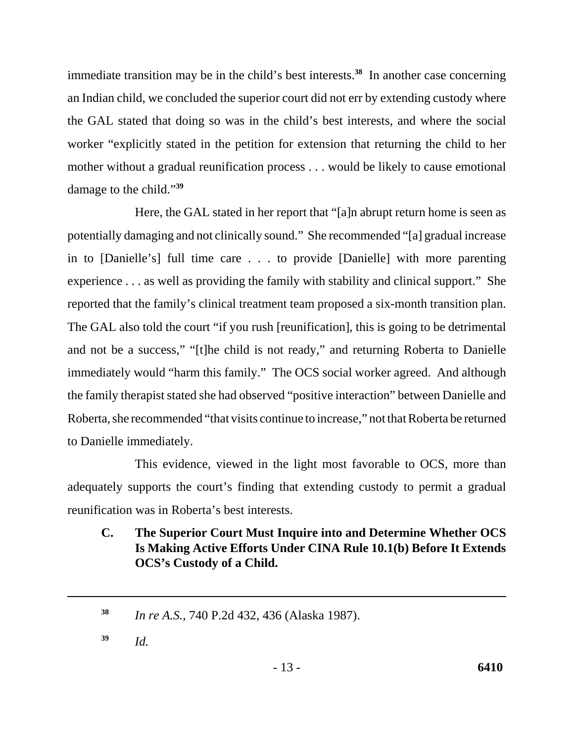immediate transition may be in the child's best interests.**<sup>38</sup>** In another case concerning an Indian child, we concluded the superior court did not err by extending custody where the GAL stated that doing so was in the child's best interests, and where the social worker "explicitly stated in the petition for extension that returning the child to her mother without a gradual reunification process . . . would be likely to cause emotional damage to the child."**<sup>39</sup>**

Here, the GAL stated in her report that "[a]n abrupt return home is seen as potentially damaging and not clinically sound." She recommended "[a] gradual increase in to [Danielle's] full time care . . . to provide [Danielle] with more parenting experience . . . as well as providing the family with stability and clinical support." She reported that the family's clinical treatment team proposed a six-month transition plan. The GAL also told the court "if you rush [reunification], this is going to be detrimental and not be a success," "[t]he child is not ready," and returning Roberta to Danielle immediately would "harm this family." The OCS social worker agreed. And although the family therapist stated she had observed "positive interaction" between Danielle and Roberta, she recommended "that visits continue to increase," not that Roberta be returned to Danielle immediately.

This evidence, viewed in the light most favorable to OCS, more than adequately supports the court's finding that extending custody to permit a gradual reunification was in Roberta's best interests.

**C. The Superior Court Must Inquire into and Determine Whether OCS Is Making Active Efforts Under CINA Rule 10.1(b) Before It Extends OCS's Custody of a Child.** 

**<sup>39</sup>***Id.* 

**<sup>38</sup>***In re A.S.*, 740 P.2d 432, 436 (Alaska 1987).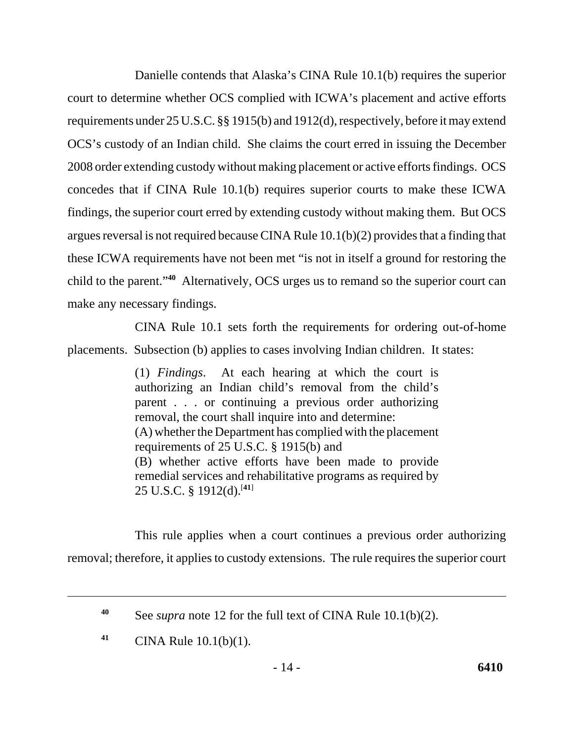Danielle contends that Alaska's CINA Rule 10.1(b) requires the superior court to determine whether OCS complied with ICWA's placement and active efforts requirements under 25 U.S.C. §§ 1915(b) and 1912(d), respectively, before it may extend OCS's custody of an Indian child. She claims the court erred in issuing the December 2008 order extending custody without making placement or active efforts findings. OCS concedes that if CINA Rule 10.1(b) requires superior courts to make these ICWA findings, the superior court erred by extending custody without making them. But OCS argues reversal is not required because CINA Rule 10.1(b)(2) provides that a finding that these ICWA requirements have not been met "is not in itself a ground for restoring the child to the parent."**<sup>40</sup>** Alternatively, OCS urges us to remand so the superior court can make any necessary findings.

CINA Rule 10.1 sets forth the requirements for ordering out-of-home placements. Subsection (b) applies to cases involving Indian children. It states:

> (1) *Findings*. At each hearing at which the court is authorizing an Indian child's removal from the child's parent . . . or continuing a previous order authorizing removal, the court shall inquire into and determine: (A) whether the Department has complied with the placement requirements of 25 U.S.C. § 1915(b) and (B) whether active efforts have been made to provide remedial services and rehabilitative programs as required by 25 U.S.C. § 1912(d).[**41**]

This rule applies when a court continues a previous order authorizing removal; therefore, it applies to custody extensions. The rule requires the superior court

**<sup>40</sup>**See *supra* note 12 for the full text of CINA Rule 10.1(b)(2).

**<sup>41</sup>**CINA Rule 10.1(b)(1).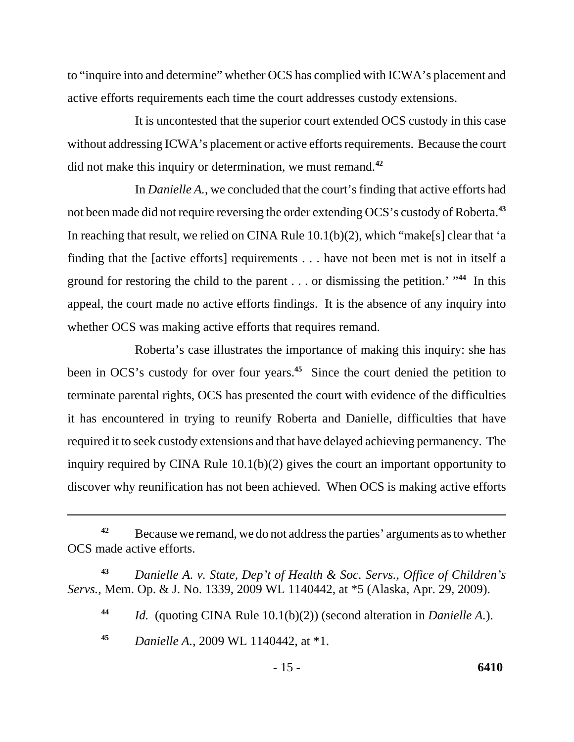to "inquire into and determine" whether OCS has complied with ICWA's placement and active efforts requirements each time the court addresses custody extensions.

It is uncontested that the superior court extended OCS custody in this case without addressing ICWA's placement or active efforts requirements. Because the court did not make this inquiry or determination, we must remand.**<sup>42</sup>**

In *Danielle A.*, we concluded that the court's finding that active efforts had not been made did not require reversing the order extending OCS's custody of Roberta.**<sup>43</sup>** In reaching that result, we relied on CINA Rule 10.1(b)(2), which "make[s] clear that 'a finding that the [active efforts] requirements . . . have not been met is not in itself a ground for restoring the child to the parent . . . or dismissing the petition.' "**<sup>44</sup>** In this appeal, the court made no active efforts findings. It is the absence of any inquiry into whether OCS was making active efforts that requires remand.

Roberta's case illustrates the importance of making this inquiry: she has been in OCS's custody for over four years.**<sup>45</sup>** Since the court denied the petition to terminate parental rights, OCS has presented the court with evidence of the difficulties it has encountered in trying to reunify Roberta and Danielle, difficulties that have required it to seek custody extensions and that have delayed achieving permanency. The inquiry required by CINA Rule 10.1(b)(2) gives the court an important opportunity to discover why reunification has not been achieved. When OCS is making active efforts

<sup>&</sup>lt;sup>42</sup>Because we remand, we do not address the parties' arguments as to whether OCS made active efforts.

**<sup>43</sup>***Danielle A. v. State, Dep't of Health & Soc. Servs., Office of Children's Servs.*, Mem. Op. & J. No. 1339, 2009 WL 1140442, at \*5 (Alaska, Apr. 29, 2009).

**<sup>44</sup>***Id.* (quoting CINA Rule 10.1(b)(2)) (second alteration in *Danielle A.*).

**<sup>45</sup>***Danielle A.*, 2009 WL 1140442, at \*1.